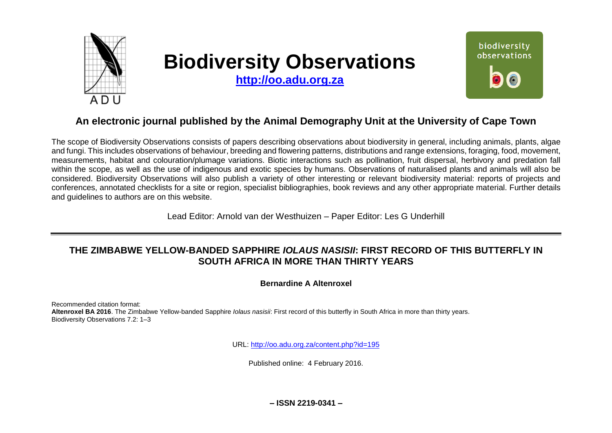

# **Biodiversity Observations**

**[http://oo.adu.org.za](http://oo.adu.org.za/)**



## **An electronic journal published by the Animal Demography Unit at the University of Cape Town**

The scope of Biodiversity Observations consists of papers describing observations about biodiversity in general, including animals, plants, algae and fungi. This includes observations of behaviour, breeding and flowering patterns, distributions and range extensions, foraging, food, movement, measurements, habitat and colouration/plumage variations. Biotic interactions such as pollination, fruit dispersal, herbivory and predation fall within the scope, as well as the use of indigenous and exotic species by humans. Observations of naturalised plants and animals will also be considered. Biodiversity Observations will also publish a variety of other interesting or relevant biodiversity material: reports of projects and conferences, annotated checklists for a site or region, specialist bibliographies, book reviews and any other appropriate material. Further details and guidelines to authors are on this website.

Lead Editor: Arnold van der Westhuizen – Paper Editor: Les G Underhill

## **THE ZIMBABWE YELLOW-BANDED SAPPHIRE** *IOLAUS NASISII***: FIRST RECORD OF THIS BUTTERFLY IN SOUTH AFRICA IN MORE THAN THIRTY YEARS**

**Bernardine A Altenroxel**

Recommended citation format: **Altenroxel BA 2016**. The Zimbabwe Yellow-banded Sapphire *Iolaus nasisii*: First record of this butterfly in South Africa in more than thirty years. Biodiversity Observations 7.2: 1–3

URL:<http://oo.adu.org.za/content.php?id=195>

Published online: 4 February 2016.

**– ISSN 2219-0341 –**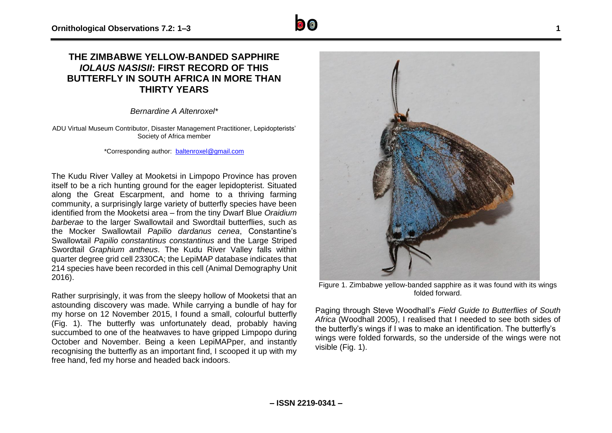### **THE ZIMBABWE YELLOW-BANDED SAPPHIRE** *IOLAUS NASISII***: FIRST RECORD OF THIS BUTTERFLY IN SOUTH AFRICA IN MORE THAN THIRTY YEARS**

*Bernardine A Altenroxel\**

ADU Virtual Museum Contributor, Disaster Management Practitioner, Lepidopterists' Society of Africa member

\*Corresponding author: [baltenroxel@gmail.com](mailto:baltenroxel@gmail.com)

The Kudu River Valley at Mooketsi in Limpopo Province has proven itself to be a rich hunting ground for the eager lepidopterist. Situated along the Great Escarpment, and home to a thriving farming community, a surprisingly large variety of butterfly species have been identified from the Mooketsi area – from the tiny Dwarf Blue *Oraidium barberae* to the larger Swallowtail and Swordtail butterflies, such as the Mocker Swallowtail *Papilio dardanus cenea*, Constantine's Swallowtail *Papilio constantinus constantinus* and the Large Striped Swordtail *Graphium antheus*. The Kudu River Valley falls within quarter degree grid cell 2330CA; the LepiMAP database indicates that 214 species have been recorded in this cell (Animal Demography Unit 2016).

Rather surprisingly, it was from the sleepy hollow of Mooketsi that an astounding discovery was made. While carrying a bundle of hay for my horse on 12 November 2015, I found a small, colourful butterfly (Fig. 1). The butterfly was unfortunately dead, probably having succumbed to one of the heatwaves to have gripped Limpopo during October and November. Being a keen LepiMAPper, and instantly recognising the butterfly as an important find, I scooped it up with my free hand, fed my horse and headed back indoors.



Figure 1. Zimbabwe yellow-banded sapphire as it was found with its wings folded forward.

Paging through Steve Woodhall's *Field Guide to Butterflies of South Africa* (Woodhall 2005), I realised that I needed to see both sides of the butterfly's wings if I was to make an identification. The butterfly's wings were folded forwards, so the underside of the wings were not visible (Fig. 1).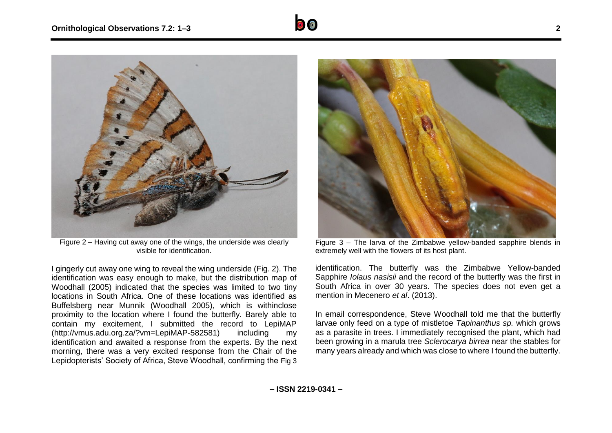

Figure 2 – Having cut away one of the wings, the underside was clearly visible for identification.

I gingerly cut away one wing to reveal the wing underside (Fig. 2). The identification was easy enough to make, but the distribution map of Woodhall (2005) indicated that the species was limited to two tiny locations in South Africa. One of these locations was identified as Buffelsberg near Munnik (Woodhall 2005), which is withinclose proximity to the location where I found the butterfly. Barely able to contain my excitement, I submitted the record to LepiMAP (http://vmus.adu.org.za/?vm=LepiMAP-582581) including my identification and awaited a response from the experts. By the next morning, there was a very excited response from the Chair of the Lepidopterists' Society of Africa, Steve Woodhall, confirming the Fig 3



Figure 3 – The larva of the Zimbabwe yellow-banded sapphire blends in extremely well with the flowers of its host plant.

identification. The butterfly was the Zimbabwe Yellow-banded Sapphire *Iolaus nasisii* and the record of the butterfly was the first in South Africa in over 30 years. The species does not even get a mention in Mecenero *et al*. (2013).

In email correspondence, Steve Woodhall told me that the butterfly larvae only feed on a type of mistletoe *Tapinanthus sp.* which grows as a parasite in trees. I immediately recognised the plant, which had been growing in a marula tree *Sclerocarya birrea* near the stables for many years already and which was close to where I found the butterfly.